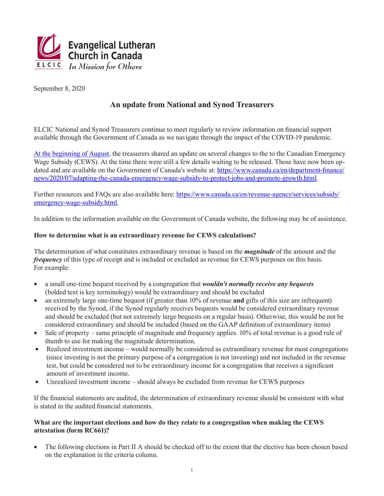

September 8, 2020

## **An update from National and Synod Treasurers**

ELCIC National and Synod Treasurers continue to meet regularly to review information on financial support available through the Government of Canada as we navigate through the impact of the COVID-19 pandemic.

[At the beginning of August,](https://www.elcic.ca/publichealth/documents/20200806UpdateonFinancialSupport.pdf) the treasurers shared an update on several changes to the to the Canadian Emergency Wage Subsidy (CEWS). At the time there were still a few details waiting to be released. Those have now been updated and are available on the Government of Canada's website at: [https://www.canada.ca/en/department-finance/](https://www.canada.ca/en/department-finance/news/2020/07/adapting-the-canada-emergency-wage-subsidy-to-protect-jobs-and-promote-growth.html) [news/2020/07/adapting-the-canada-emergency-wage-subsidy-to-protect-jobs-and-promote-growth.html.](https://www.canada.ca/en/department-finance/news/2020/07/adapting-the-canada-emergency-wage-subsidy-to-protect-jobs-and-promote-growth.html)

Further resources and FAQs are also available here: [https://www.canada.ca/en/revenue-agency/services/subsidy/](https://www.canada.ca/en/revenue-agency/services/subsidy/emergency-wage-subsidy.html) [emergency-wage-subsidy.html.](https://www.canada.ca/en/revenue-agency/services/subsidy/emergency-wage-subsidy.html)

In addition to the information available on the Government of Canada website, the following may be of assistance.

## **How to determine what is an extraordinary revenue for CEWS calculations?**

The determination of what constitutes extraordinary revenue is based on the *magnitude* of the amount and the *frequency* of this type of receipt and is included or excluded as revenue for CEWS purposes on this basis. For example:

- a small one-time bequest received by a congregation that *wouldn't normally receive any bequests* (bolded text is key terminology) would be extraordinary and should be excluded
- an extremely large one-time bequest (if greater than 10% of revenue **and** gifts of this size are infrequent) received by the Synod, if the Synod regularly receives bequests would be considered extraordinary revenue and should be excluded (but not extremely large bequests on a regular basis). Otherwise, this would be not be considered extraordinary and should be included (based on the GAAP definition of extraordinary items)
- Sale of property same principle of magnitude and frequency applies. 10% of total revenue is a good rule of thumb to use for making the magnitude determination.
- Realized investment income would normally be considered as extraordinary revenue for most congregations (since investing is not the primary purpose of a congregation is not investing) and not included in the revenue test, but could be considered not to be extraordinary income for a congregation that receives a significant amount of investment income.
- Unrealized investment income should always be excluded from revenue for CEWS purposes

If the financial statements are audited, the determination of extraordinary revenue should be consistent with what is stated in the audited financial statements.

## **What are the important elections and how do they relate to a congregation when making the CEWS attestation (form RC661)?**

The following elections in Part II A should be checked off to the extent that the elective has been chosen based on the explanation in the criteria column.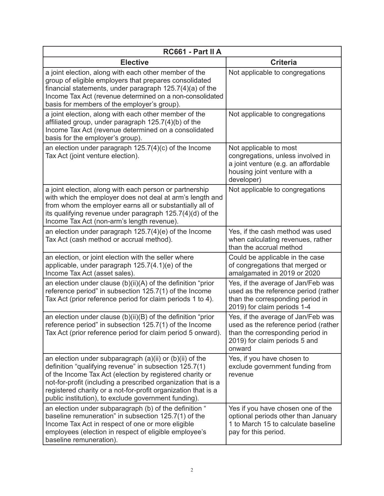| RC661 - Part II A                                                                                                                                                                                                                                                                                                                                                        |                                                                                                                                                           |
|--------------------------------------------------------------------------------------------------------------------------------------------------------------------------------------------------------------------------------------------------------------------------------------------------------------------------------------------------------------------------|-----------------------------------------------------------------------------------------------------------------------------------------------------------|
| <b>Elective</b>                                                                                                                                                                                                                                                                                                                                                          | <b>Criteria</b>                                                                                                                                           |
| a joint election, along with each other member of the<br>group of eligible employers that prepares consolidated<br>financial statements, under paragraph $125.7(4)(a)$ of the<br>Income Tax Act (revenue determined on a non-consolidated<br>basis for members of the employer's group).                                                                                 | Not applicable to congregations                                                                                                                           |
| a joint election, along with each other member of the<br>affiliated group, under paragraph 125.7(4)(b) of the<br>Income Tax Act (revenue determined on a consolidated<br>basis for the employer's group).                                                                                                                                                                | Not applicable to congregations                                                                                                                           |
| an election under paragraph $125.7(4)(c)$ of the Income<br>Tax Act (joint venture election).                                                                                                                                                                                                                                                                             | Not applicable to most<br>congregations, unless involved in<br>a joint venture (e.g. an affordable<br>housing joint venture with a<br>developer)          |
| a joint election, along with each person or partnership<br>with which the employer does not deal at arm's length and<br>from whom the employer earns all or substantially all of<br>its qualifying revenue under paragraph 125.7(4)(d) of the<br>Income Tax Act (non-arm's length revenue).                                                                              | Not applicable to congregations                                                                                                                           |
| an election under paragraph $125.7(4)(e)$ of the Income<br>Tax Act (cash method or accrual method).                                                                                                                                                                                                                                                                      | Yes, if the cash method was used<br>when calculating revenues, rather<br>than the accrual method                                                          |
| an election, or joint election with the seller where<br>applicable, under paragraph 125.7(4.1)(e) of the<br>Income Tax Act (asset sales).                                                                                                                                                                                                                                | Could be applicable in the case<br>of congregations that merged or<br>amalgamated in 2019 or 2020                                                         |
| an election under clause (b)(ii)(A) of the definition "prior<br>reference period" in subsection 125.7(1) of the Income<br>Tax Act (prior reference period for claim periods 1 to 4).                                                                                                                                                                                     | Yes, if the average of Jan/Feb was<br>used as the reference period (rather<br>than the corresponding period in<br>2019) for claim periods 1-4             |
| an election under clause $(b)(ii)(B)$ of the definition "prior<br>reference period" in subsection 125.7(1) of the Income<br>Tax Act (prior reference period for claim period 5 onward).                                                                                                                                                                                  | Yes, if the average of Jan/Feb was<br>used as the reference period (rather<br>than the corresponding period in<br>2019) for claim periods 5 and<br>onward |
| an election under subparagraph (a)(ii) or (b)(ii) of the<br>definition "qualifying revenue" in subsection 125.7(1)<br>of the Income Tax Act (election by registered charity or<br>not-for-profit (including a prescribed organization that is a<br>registered charity or a not-for-profit organization that is a<br>public institution), to exclude government funding). | Yes, if you have chosen to<br>exclude government funding from<br>revenue                                                                                  |
| an election under subparagraph (b) of the definition "<br>baseline remuneration" in subsection 125.7(1) of the<br>Income Tax Act in respect of one or more eligible<br>employees (election in respect of eligible employee's<br>baseline remuneration).                                                                                                                  | Yes if you have chosen one of the<br>optional periods other than January<br>1 to March 15 to calculate baseline<br>pay for this period.                   |